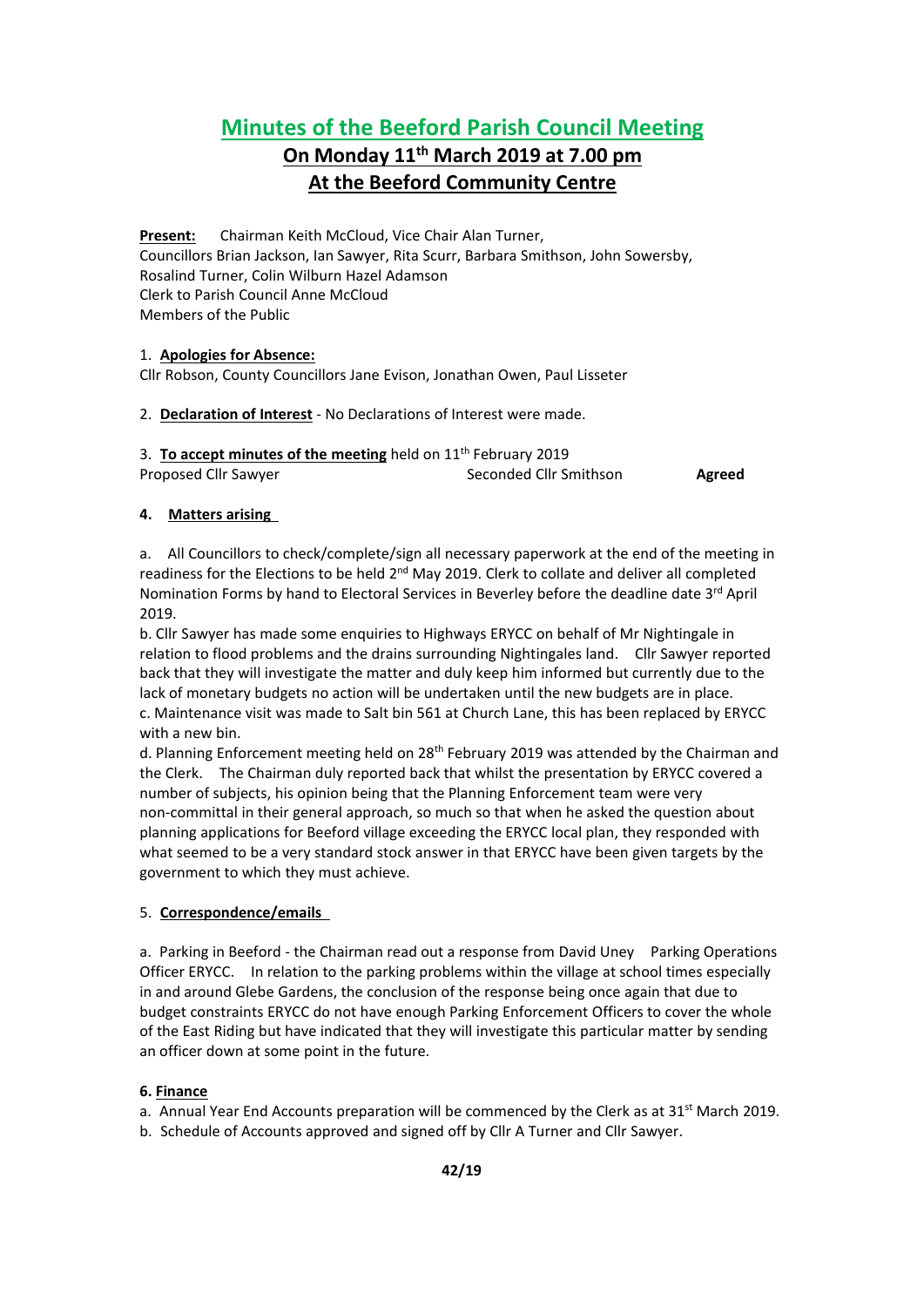# **Minutes of the Beeford Parish Council Meeting**

## **On Monday 11 th March 2019 at 7.00 pm At the Beeford Community Centre**

**Present:** Chairman Keith McCloud, Vice Chair Alan Turner, Councillors Brian Jackson, Ian Sawyer, Rita Scurr, Barbara Smithson, John Sowersby, Rosalind Turner, Colin Wilburn Hazel Adamson Clerk to Parish Council Anne McCloud Members of the Public

## 1. **Apologies for Absence:**

Cllr Robson, County Councillors Jane Evison, Jonathan Owen, Paul Lisseter

2. **Declaration of Interest** - No Declarations of Interest were made.

| 3. To accept minutes of the meeting held on 11 <sup>th</sup> February 2019 |                        |        |
|----------------------------------------------------------------------------|------------------------|--------|
| Proposed Cllr Sawyer                                                       | Seconded Cllr Smithson | Agreed |

## **4. Matters arising**

a. All Councillors to check/complete/sign all necessary paperwork at the end of the meeting in readiness for the Elections to be held 2<sup>nd</sup> May 2019. Clerk to collate and deliver all completed Nomination Forms by hand to Electoral Services in Beverley before the deadline date 3<sup>rd</sup> April 2019.

b. Cllr Sawyer has made some enquiries to Highways ERYCC on behalf of Mr Nightingale in relation to flood problems and the drains surrounding Nightingales land. Cllr Sawyer reported back that they will investigate the matter and duly keep him informed but currently due to the lack of monetary budgets no action will be undertaken until the new budgets are in place. c. Maintenance visit was made to Salt bin 561 at Church Lane, this has been replaced by ERYCC with a new bin.

d. Planning Enforcement meeting held on 28<sup>th</sup> February 2019 was attended by the Chairman and the Clerk. The Chairman duly reported back that whilst the presentation by ERYCC covered a number of subjects, his opinion being that the Planning Enforcement team were very non-committal in their general approach, so much so that when he asked the question about planning applications for Beeford village exceeding the ERYCC local plan, they responded with what seemed to be a very standard stock answer in that ERYCC have been given targets by the government to which they must achieve.

#### 5. **Correspondence/emails**

a. Parking in Beeford - the Chairman read out a response from David Uney Parking Operations Officer ERYCC. In relation to the parking problems within the village at school times especially in and around Glebe Gardens, the conclusion of the response being once again that due to budget constraints ERYCC do not have enough Parking Enforcement Officers to cover the whole of the East Riding but have indicated that they will investigate this particular matter by sending an officer down at some point in the future.

## **6. Finance**

a. Annual Year End Accounts preparation will be commenced by the Clerk as at 31<sup>st</sup> March 2019.

b. Schedule of Accounts approved and signed off by Cllr A Turner and Cllr Sawyer.